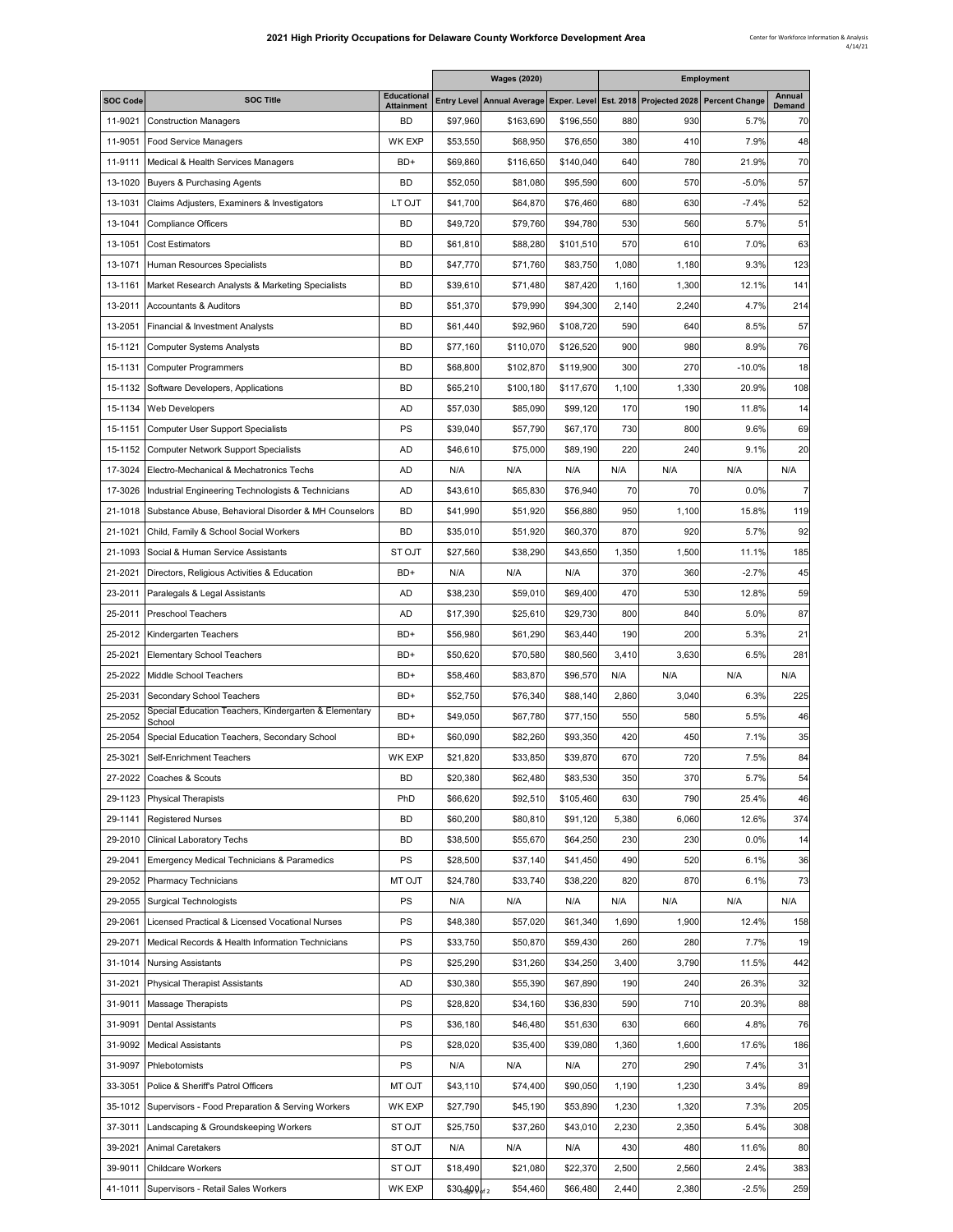÷.

Е

|                 |                                                                 |                                         |               | <b>Wages (2020)</b>                                                             |           |       |       | <b>Employment</b> |                  |
|-----------------|-----------------------------------------------------------------|-----------------------------------------|---------------|---------------------------------------------------------------------------------|-----------|-------|-------|-------------------|------------------|
| <b>SOC Code</b> | <b>SOC Title</b>                                                | <b>Educational</b><br><b>Attainment</b> |               | Entry Level Annual Average Exper. Level Est. 2018 Projected 2028 Percent Change |           |       |       |                   | Annual<br>Demand |
| 11-9021         | <b>Construction Managers</b>                                    | BD                                      | \$97,960      | \$163,690                                                                       | \$196,550 | 880   | 930   | 5.7%              | 70               |
| 11-9051         | <b>Food Service Managers</b>                                    | <b>WK EXP</b>                           | \$53,550      | \$68,950                                                                        | \$76,650  | 380   | 410   | 7.9%              | 48               |
| 11-9111         | Medical & Health Services Managers                              | BD+                                     | \$69,860      | \$116.650                                                                       | \$140,040 | 640   | 780   | 21.9%             | 70               |
| 13-1020         | Buyers & Purchasing Agents                                      | BD                                      | \$52,050      | \$81,080                                                                        | \$95,590  | 600   | 570   | $-5.0%$           | 57               |
| 13-1031         | Claims Adjusters, Examiners & Investigators                     | LT OJT                                  | \$41,700      | \$64,870                                                                        | \$76,460  | 680   | 630   | $-7.4%$           | 52               |
| 13-1041         | <b>Compliance Officers</b>                                      | BD                                      | \$49,720      | \$79,760                                                                        | \$94,780  | 530   | 560   | 5.7%              | 51               |
| 13-1051         | <b>Cost Estimators</b>                                          | BD                                      | \$61,810      | \$88,280                                                                        | \$101,510 | 570   | 610   | 7.0%              | 63               |
| 13-1071         | Human Resources Specialists                                     | BD                                      | \$47,770      | \$71,760                                                                        | \$83,750  | 1,080 | 1,180 | 9.3%              | 123              |
| 13-1161         | Market Research Analysts & Marketing Specialists                | BD                                      | \$39,610      | \$71,480                                                                        | \$87,420  | 1,160 | 1,300 | 12.1%             | 141              |
| 13-2011         | <b>Accountants &amp; Auditors</b>                               | <b>BD</b>                               | \$51,370      | \$79,990                                                                        | \$94,300  | 2,140 | 2,240 | 4.7%              | 214              |
| 13-2051         | Financial & Investment Analysts                                 | BD                                      | \$61,440      | \$92,960                                                                        | \$108,720 | 590   | 640   | 8.5%              | 57               |
| 15-1121         | <b>Computer Systems Analysts</b>                                | BD                                      | \$77,160      | \$110,070                                                                       | \$126,520 | 900   | 980   | 8.9%              | 76               |
| 15-1131         | <b>Computer Programmers</b>                                     | BD                                      | \$68,800      | \$102,870                                                                       | \$119,900 | 300   | 270   | $-10.0%$          | 18               |
| 15-1132         | Software Developers, Applications                               | BD                                      | \$65,210      | \$100,180                                                                       | \$117,670 | 1,100 | 1,330 | 20.9%             | 108              |
| 15-1134         | Web Developers                                                  | AD                                      | \$57,030      | \$85,090                                                                        | \$99,120  | 170   | 190   | 11.8%             | 14               |
| 15-1151         |                                                                 | PS                                      |               |                                                                                 |           | 730   | 800   |                   |                  |
|                 | <b>Computer User Support Specialists</b>                        |                                         | \$39,040      | \$57,790                                                                        | \$67,170  |       |       | 9.6%              | 69               |
| 15-1152         | <b>Computer Network Support Specialists</b>                     | AD                                      | \$46,610      | \$75,000                                                                        | \$89,190  | 220   | 240   | 9.1%              | 20               |
| 17-3024         | Electro-Mechanical & Mechatronics Techs                         | AD                                      | N/A           | N/A                                                                             | N/A       | N/A   | N/A   | N/A               | N/A              |
| 17-3026         | Industrial Engineering Technologists & Technicians              | AD                                      | \$43,610      | \$65,830                                                                        | \$76,940  | 70    | 70    | 0.0%              | 7                |
| 21-1018         | Substance Abuse, Behavioral Disorder & MH Counselors            | <b>BD</b>                               | \$41,990      | \$51,920                                                                        | \$56,880  | 950   | 1,100 | 15.8%             | 119              |
| 21-1021         | Child, Family & School Social Workers                           | BD                                      | \$35,010      | \$51,920                                                                        | \$60,370  | 870   | 920   | 5.7%              | 92               |
| 21-1093         | Social & Human Service Assistants                               | <b>STOJT</b>                            | \$27,560      | \$38,290                                                                        | \$43,650  | 1,350 | 1,500 | 11.1%             | 185              |
| 21-2021         | Directors, Religious Activities & Education                     | BD+                                     | N/A           | N/A                                                                             | N/A       | 370   | 360   | $-2.7%$           | 45               |
| 23-2011         | Paralegals & Legal Assistants                                   | AD                                      | \$38,230      | \$59,010                                                                        | \$69,400  | 470   | 530   | 12.8%             | 59               |
| 25-2011         | <b>Preschool Teachers</b>                                       | AD                                      | \$17,390      | \$25,610                                                                        | \$29,730  | 800   | 840   | 5.0%              | 87               |
| 25-2012         | Kindergarten Teachers                                           | BD+                                     | \$56,980      | \$61,290                                                                        | \$63,440  | 190   | 200   | 5.3%              | 21               |
| 25-2021         | <b>Elementary School Teachers</b>                               | BD+                                     | \$50,620      | \$70,580                                                                        | \$80,560  | 3,410 | 3,630 | 6.5%              | 281              |
| 25-2022         | Middle School Teachers                                          | BD+                                     | \$58,460      | \$83,870                                                                        | \$96,570  | N/A   | N/A   | N/A               | N/A              |
| 25-2031         | Secondary School Teachers                                       | BD+                                     | \$52,750      | \$76,340                                                                        | \$88,140  | 2,860 | 3,040 | 6.3%              | 225              |
| 25-2052         | Special Education Teachers, Kindergarten & Elementary<br>School | BD+                                     | \$49,050      | \$67,780                                                                        | \$77,150  | 550   | 580   | 5.5%              | 46               |
| 25-2054         | Special Education Teachers, Secondary School                    | BD+                                     | \$60,090      | \$82,260                                                                        | \$93,350  | 420   | 450   | 7.1%              | 35               |
| 25-3021         | Self-Enrichment Teachers                                        | <b>WK EXP</b>                           | \$21,820      | \$33,850                                                                        | \$39,870  | 670   | 720   | 7.5%              | 84               |
|                 | 27-2022 Coaches & Scouts                                        | BD                                      | \$20,380      | \$62,480                                                                        | \$83,530  | 350   | 370   | 5.7%              | 54               |
| 29-1123         | <b>Physical Therapists</b>                                      | PhD                                     | \$66,620      | \$92,510                                                                        | \$105,460 | 630   | 790   | 25.4%             | 46               |
| 29-1141         | <b>Registered Nurses</b>                                        | BD                                      | \$60,200      | \$80,810                                                                        | \$91,120  | 5,380 | 6,060 | 12.6%             | 374              |
| 29-2010         | <b>Clinical Laboratory Techs</b>                                | BD                                      | \$38,500      | \$55,670                                                                        | \$64,250  | 230   | 230   | 0.0%              | 14               |
| 29-2041         | Emergency Medical Technicians & Paramedics                      | PS                                      | \$28,500      | \$37,140                                                                        | \$41,450  | 490   | 520   | 6.1%              | 36               |
| 29-2052         | Pharmacy Technicians                                            | MT OJT                                  | \$24,780      | \$33,740                                                                        | \$38,220  | 820   | 870   | 6.1%              | 73               |
| 29-2055         | <b>Surgical Technologists</b>                                   | PS                                      | N/A           | N/A                                                                             | N/A       | N/A   | N/A   | N/A               | N/A              |
|                 | Licensed Practical & Licensed Vocational Nurses                 |                                         |               | \$57,020                                                                        | \$61,340  |       |       |                   |                  |
| 29-2061         |                                                                 | PS                                      | \$48,380      |                                                                                 |           | 1,690 | 1,900 | 12.4%             | 158              |
| 29-2071         | Medical Records & Health Information Technicians                | PS                                      | \$33,750      | \$50,870                                                                        | \$59,430  | 260   | 280   | 7.7%              | 19               |
| 31-1014         | <b>Nursing Assistants</b>                                       | PS                                      | \$25,290      | \$31,260                                                                        | \$34,250  | 3,400 | 3,790 | 11.5%             | 442              |
| 31-2021         | <b>Physical Therapist Assistants</b>                            | AD                                      | \$30,380      | \$55,390                                                                        | \$67,890  | 190   | 240   | 26.3%             | 32               |
| 31-9011         | <b>Massage Therapists</b>                                       | PS                                      | \$28,820      | \$34,160                                                                        | \$36,830  | 590   | 710   | 20.3%             | 88               |
| 31-9091         | <b>Dental Assistants</b>                                        | PS                                      | \$36,180      | \$46,480                                                                        | \$51,630  | 630   | 660   | 4.8%              | 76               |
| 31-9092         | <b>Medical Assistants</b>                                       | PS                                      | \$28,020      | \$35,400                                                                        | \$39,080  | 1,360 | 1,600 | 17.6%             | 186              |
| 31-9097         | Phlebotomists                                                   | PS                                      | N/A           | N/A                                                                             | N/A       | 270   | 290   | 7.4%              | 31               |
| 33-3051         | Police & Sheriff's Patrol Officers                              | MT OJT                                  | \$43,110      | \$74,400                                                                        | \$90,050  | 1,190 | 1,230 | 3.4%              | 89               |
| 35-1012         | Supervisors - Food Preparation & Serving Workers                | <b>WK EXP</b>                           | \$27,790      | \$45,190                                                                        | \$53,890  | 1,230 | 1,320 | 7.3%              | 205              |
| 37-3011         | Landscaping & Groundskeeping Workers                            | ST OJT                                  | \$25,750      | \$37,260                                                                        | \$43,010  | 2,230 | 2,350 | 5.4%              | 308              |
| 39-2021         | <b>Animal Caretakers</b>                                        | ST OJT                                  | N/A           | N/A                                                                             | N/A       | 430   | 480   | 11.6%             | 80               |
| 39-9011         | Childcare Workers                                               | ST OJT                                  | \$18,490      | \$21,080                                                                        | \$22,370  | 2,500 | 2,560 | 2.4%              | 383              |
| 41-1011         | Supervisors - Retail Sales Workers                              | <b>WK EXP</b>                           | \$30,400 of 2 | \$54,460                                                                        | \$66,480  | 2,440 | 2,380 | $-2.5%$           | 259              |